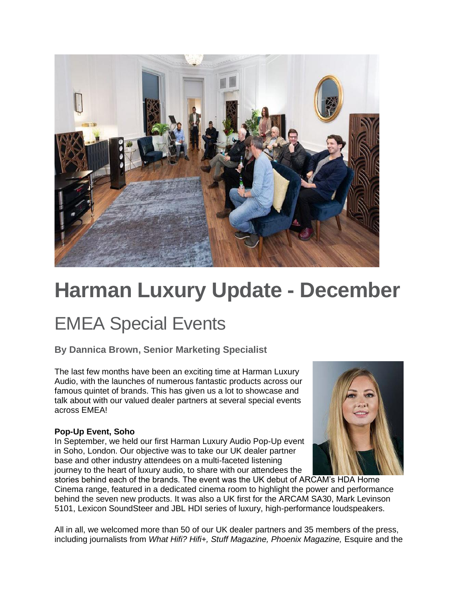

# **Harman Luxury Update - December**

### EMEA Special Events

#### **By Dannica Brown, Senior Marketing Specialist**

The last few months have been an exciting time at Harman Luxury Audio, with the launches of numerous fantastic products across our famous quintet of brands. This has given us a lot to showcase and talk about with our valued dealer partners at several special events across EMEA!

#### **Pop-Up Event, Soho**

In September, we held our first Harman Luxury Audio Pop-Up event in Soho, London. Our objective was to take our UK dealer partner base and other industry attendees on a multi-faceted listening journey to the heart of luxury audio, to share with our attendees the



stories behind each of the brands. The event was the UK debut of ARCAM's HDA Home Cinema range, featured in a dedicated cinema room to highlight the power and performance behind the seven new products. It was also a UK first for the ARCAM SA30, Mark Levinson 5101, Lexicon SoundSteer and JBL HDI series of luxury, high-performance loudspeakers.

All in all, we welcomed more than 50 of our UK dealer partners and 35 members of the press, including journalists from *What Hifi? Hifi+, Stuff Magazine, Phoenix Magazine,* Esquire and the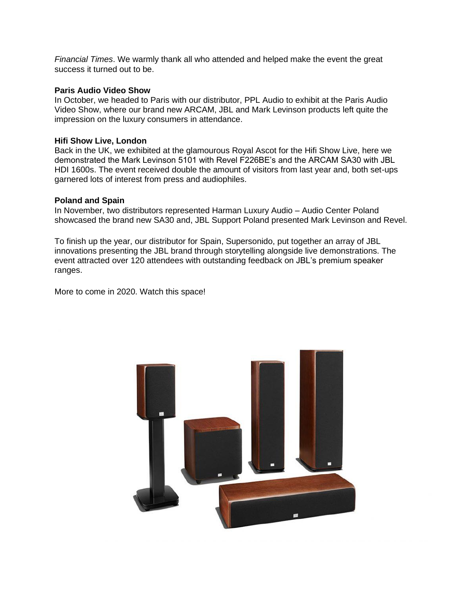*Financial Times*. We warmly thank all who attended and helped make the event the great success it turned out to be.

#### **Paris Audio Video Show**

In October, we headed to Paris with our distributor, PPL Audio to exhibit at the Paris Audio Video Show, where our brand new ARCAM, JBL and Mark Levinson products left quite the impression on the luxury consumers in attendance.

#### **Hifi Show Live, London**

Back in the UK, we exhibited at the glamourous Royal Ascot for the Hifi Show Live, here we demonstrated the Mark Levinson 5101 with Revel F226BE's and the ARCAM SA30 with JBL HDI 1600s. The event received double the amount of visitors from last year and, both set-ups garnered lots of interest from press and audiophiles.

#### **Poland and Spain**

In November, two distributors represented Harman Luxury Audio – Audio Center Poland showcased the brand new SA30 and, JBL Support Poland presented Mark Levinson and Revel.

To finish up the year, our distributor for Spain, Supersonido, put together an array of JBL innovations presenting the JBL brand through storytelling alongside live demonstrations. The event attracted over 120 attendees with outstanding feedback on JBL's premium speaker ranges.

More to come in 2020. Watch this space!

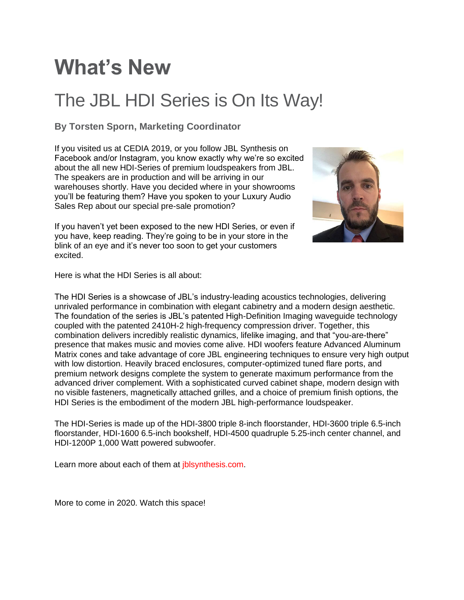# **What's New**

### The JBL HDI Series is On Its Way!

#### **By Torsten Sporn, Marketing Coordinator**

If you visited us at CEDIA 2019, or you follow JBL Synthesis on Facebook and/or Instagram, you know exactly why we're so excited about the all new HDI-Series of premium loudspeakers from JBL. The speakers are in production and will be arriving in our warehouses shortly. Have you decided where in your showrooms you'll be featuring them? Have you spoken to your Luxury Audio Sales Rep about our special pre-sale promotion?



If you haven't yet been exposed to the new HDI Series, or even if you have, keep reading. They're going to be in your store in the blink of an eye and it's never too soon to get your customers excited.

Here is what the HDI Series is all about:

The HDI Series is a showcase of JBL's industry-leading acoustics technologies, delivering unrivaled performance in combination with elegant cabinetry and a modern design aesthetic. The foundation of the series is JBL's patented High-Definition Imaging waveguide technology coupled with the patented 2410H-2 high-frequency compression driver. Together, this combination delivers incredibly realistic dynamics, lifelike imaging, and that "you-are-there" presence that makes music and movies come alive. HDI woofers feature Advanced Aluminum Matrix cones and take advantage of core JBL engineering techniques to ensure very high output with low distortion. Heavily braced enclosures, computer-optimized tuned flare ports, and premium network designs complete the system to generate maximum performance from the advanced driver complement. With a sophisticated curved cabinet shape, modern design with no visible fasteners, magnetically attached grilles, and a choice of premium finish options, the HDI Series is the embodiment of the modern JBL high-performance loudspeaker.

The HDI-Series is made up of the HDI-3800 triple 8-inch floorstander, HDI-3600 triple 6.5-inch floorstander, HDI-1600 6.5-inch bookshelf, HDI-4500 quadruple 5.25-inch center channel, and HDI-1200P 1,000 Watt powered subwoofer.

Learn more about each of them at jblsynthesis.com.

More to come in 2020. Watch this space!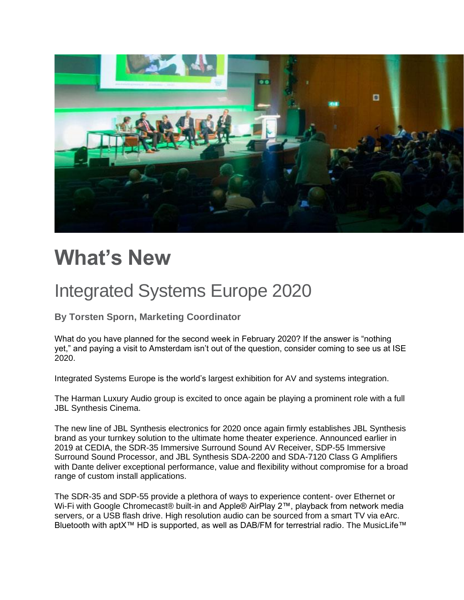

# **What's New**

### Integrated Systems Europe 2020

**By Torsten Sporn, Marketing Coordinator**

What do you have planned for the second week in February 2020? If the answer is "nothing yet," and paying a visit to Amsterdam isn't out of the question, consider coming to see us at ISE 2020.

Integrated Systems Europe is the world's largest exhibition for AV and systems integration.

The Harman Luxury Audio group is excited to once again be playing a prominent role with a full JBL Synthesis Cinema.

The new line of JBL Synthesis electronics for 2020 once again firmly establishes JBL Synthesis brand as your turnkey solution to the ultimate home theater experience. Announced earlier in 2019 at CEDIA, the SDR-35 Immersive Surround Sound AV Receiver, SDP-55 Immersive Surround Sound Processor, and JBL Synthesis SDA-2200 and SDA-7120 Class G Amplifiers with Dante deliver exceptional performance, value and flexibility without compromise for a broad range of custom install applications.

The SDR-35 and SDP-55 provide a plethora of ways to experience content- over Ethernet or Wi-Fi with Google Chromecast® built-in and Apple® AirPlay 2™, playback from network media servers, or a USB flash drive. High resolution audio can be sourced from a smart TV via eArc. Bluetooth with aptX<sup>™</sup> HD is supported, as well as DAB/FM for terrestrial radio. The MusicLife<sup>™</sup>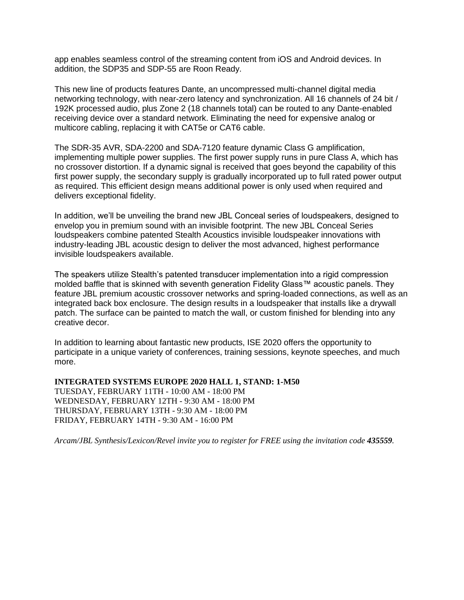app enables seamless control of the streaming content from iOS and Android devices. In addition, the SDP35 and SDP-55 are Roon Ready.

This new line of products features Dante, an uncompressed multi-channel digital media networking technology, with near-zero latency and synchronization. All 16 channels of 24 bit / 192K processed audio, plus Zone 2 (18 channels total) can be routed to any Dante-enabled receiving device over a standard network. Eliminating the need for expensive analog or multicore cabling, replacing it with CAT5e or CAT6 cable.

The SDR-35 AVR, SDA-2200 and SDA-7120 feature dynamic Class G amplification, implementing multiple power supplies. The first power supply runs in pure Class A, which has no crossover distortion. If a dynamic signal is received that goes beyond the capability of this first power supply, the secondary supply is gradually incorporated up to full rated power output as required. This efficient design means additional power is only used when required and delivers exceptional fidelity.

In addition, we'll be unveiling the brand new JBL Conceal series of loudspeakers, designed to envelop you in premium sound with an invisible footprint. The new JBL Conceal Series loudspeakers combine patented Stealth Acoustics invisible loudspeaker innovations with industry-leading JBL acoustic design to deliver the most advanced, highest performance invisible loudspeakers available.

The speakers utilize Stealth's patented transducer implementation into a rigid compression molded baffle that is skinned with seventh generation Fidelity Glass™ acoustic panels. They feature JBL premium acoustic crossover networks and spring-loaded connections, as well as an integrated back box enclosure. The design results in a loudspeaker that installs like a drywall patch. The surface can be painted to match the wall, or custom finished for blending into any creative decor.

In addition to learning about fantastic new products, ISE 2020 offers the opportunity to participate in a unique variety of conferences, training sessions, keynote speeches, and much more.

**INTEGRATED SYSTEMS EUROPE 2020 HALL 1, STAND: 1-M50** TUESDAY, FEBRUARY 11TH - 10:00 AM - 18:00 PM WEDNESDAY, FEBRUARY 12TH - 9:30 AM - 18:00 PM THURSDAY, FEBRUARY 13TH - 9:30 AM - 18:00 PM FRIDAY, FEBRUARY 14TH - 9:30 AM - 16:00 PM

*Arcam/JBL Synthesis/Lexicon/Revel invite you to register for FREE using the invitation code 435559.*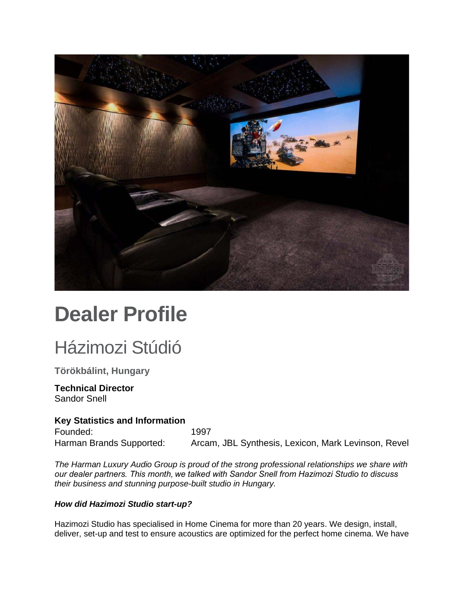

# **Dealer Profile**

### Házimozi Stúdió

**Törökbálint, Hungary**

#### **Technical Director** Sandor Snell

#### **Key Statistics and Information**

Founded: 1997 Harman Brands Supported: Arcam, JBL Synthesis, Lexicon, Mark Levinson, Revel

*The Harman Luxury Audio Group is proud of the strong professional relationships we share with our dealer partners. This month, we talked with Sandor Snell from Hazimozi Studio to discuss their business and stunning purpose-built studio in Hungary.*

#### *How did Hazimozi Studio start-up?*

Hazimozi Studio has specialised in Home Cinema for more than 20 years. We design, install, deliver, set-up and test to ensure acoustics are optimized for the perfect home cinema. We have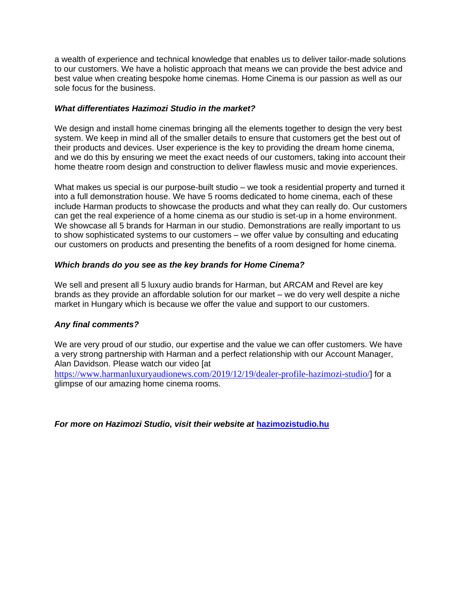a wealth of experience and technical knowledge that enables us to deliver tailor-made solutions to our customers. We have a holistic approach that means we can provide the best advice and best value when creating bespoke home cinemas. Home Cinema is our passion as well as our sole focus for the business.

#### *What differentiates Hazimozi Studio in the market?*

We design and install home cinemas bringing all the elements together to design the very best system. We keep in mind all of the smaller details to ensure that customers get the best out of their products and devices. User experience is the key to providing the dream home cinema, and we do this by ensuring we meet the exact needs of our customers, taking into account their home theatre room design and construction to deliver flawless music and movie experiences.

What makes us special is our purpose-built studio – we took a residential property and turned it into a full demonstration house. We have 5 rooms dedicated to home cinema, each of these include Harman products to showcase the products and what they can really do. Our customers can get the real experience of a home cinema as our studio is set-up in a home environment. We showcase all 5 brands for Harman in our studio. Demonstrations are really important to us to show sophisticated systems to our customers – we offer value by consulting and educating our customers on products and presenting the benefits of a room designed for home cinema.

#### *Which brands do you see as the key brands for Home Cinema?*

We sell and present all 5 luxury audio brands for Harman, but ARCAM and Revel are key brands as they provide an affordable solution for our market – we do very well despite a niche market in Hungary which is because we offer the value and support to our customers.

#### *Any final comments?*

We are very proud of our studio, our expertise and the value we can offer customers. We have a very strong partnership with Harman and a perfect relationship with our Account Manager, Alan Davidson. Please watch our video [at <https://www.harmanluxuryaudionews.com/2019/12/19/dealer-profile-hazimozi-studio/>] for a glimpse of our amazing home cinema rooms.

*For more on Hazimozi Studio, visit their website at* **[hazimozistudio.hu](https://www.hazimozistudio.hu/)**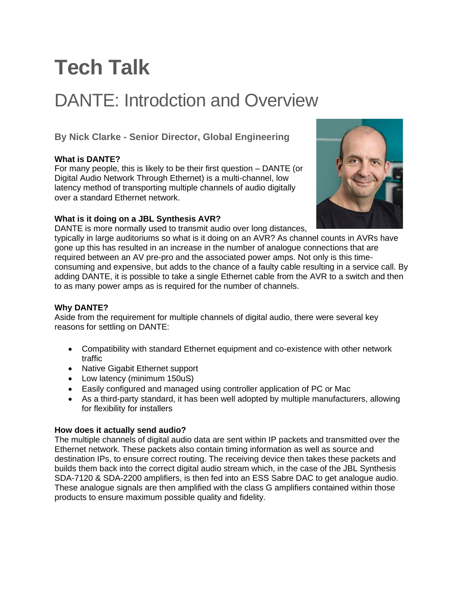# **Tech Talk**

### DANTE: Introdction and Overview

**By Nick Clarke - Senior Director, Global Engineering**

#### **What is DANTE?**

For many people, this is likely to be their first question – DANTE (or Digital Audio Network Through Ethernet) is a multi-channel, low latency method of transporting multiple channels of audio digitally over a standard Ethernet network.



#### **What is it doing on a JBL Synthesis AVR?**

DANTE is more normally used to transmit audio over long distances,

typically in large auditoriums so what is it doing on an AVR? As channel counts in AVRs have gone up this has resulted in an increase in the number of analogue connections that are required between an AV pre-pro and the associated power amps. Not only is this timeconsuming and expensive, but adds to the chance of a faulty cable resulting in a service call. By adding DANTE, it is possible to take a single Ethernet cable from the AVR to a switch and then to as many power amps as is required for the number of channels.

#### **Why DANTE?**

Aside from the requirement for multiple channels of digital audio, there were several key reasons for settling on DANTE:

- Compatibility with standard Ethernet equipment and co-existence with other network traffic
- Native Gigabit Ethernet support
- Low latency (minimum 150uS)
- Easily configured and managed using controller application of PC or Mac
- As a third-party standard, it has been well adopted by multiple manufacturers, allowing for flexibility for installers

#### **How does it actually send audio?**

The multiple channels of digital audio data are sent within IP packets and transmitted over the Ethernet network. These packets also contain timing information as well as source and destination IPs, to ensure correct routing. The receiving device then takes these packets and builds them back into the correct digital audio stream which, in the case of the JBL Synthesis SDA-7120 & SDA-2200 amplifiers, is then fed into an ESS Sabre DAC to get analogue audio. These analogue signals are then amplified with the class G amplifiers contained within those products to ensure maximum possible quality and fidelity.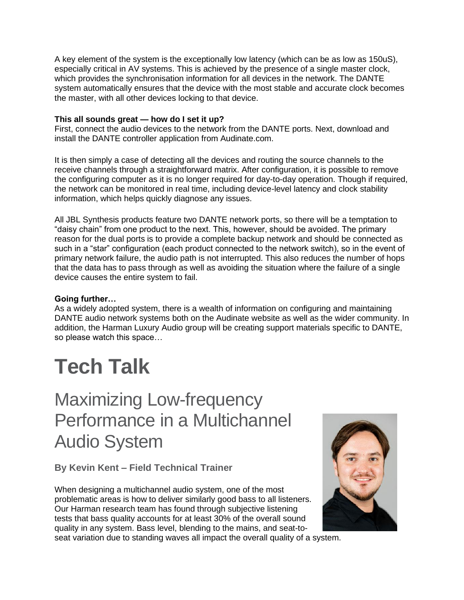A key element of the system is the exceptionally low latency (which can be as low as 150uS), especially critical in AV systems. This is achieved by the presence of a single master clock, which provides the synchronisation information for all devices in the network. The DANTE system automatically ensures that the device with the most stable and accurate clock becomes the master, with all other devices locking to that device.

#### **This all sounds great — how do I set it up?**

First, connect the audio devices to the network from the DANTE ports. Next, download and install the DANTE controller application from Audinate.com.

It is then simply a case of detecting all the devices and routing the source channels to the receive channels through a straightforward matrix. After configuration, it is possible to remove the configuring computer as it is no longer required for day-to-day operation. Though if required, the network can be monitored in real time, including device-level latency and clock stability information, which helps quickly diagnose any issues.

All JBL Synthesis products feature two DANTE network ports, so there will be a temptation to "daisy chain" from one product to the next. This, however, should be avoided. The primary reason for the dual ports is to provide a complete backup network and should be connected as such in a "star" configuration (each product connected to the network switch), so in the event of primary network failure, the audio path is not interrupted. This also reduces the number of hops that the data has to pass through as well as avoiding the situation where the failure of a single device causes the entire system to fail.

#### **Going further…**

As a widely adopted system, there is a wealth of information on configuring and maintaining DANTE audio network systems both on the Audinate website as well as the wider community. In addition, the Harman Luxury Audio group will be creating support materials specific to DANTE, so please watch this space…

# **Tech Talk**

Maximizing Low-frequency Performance in a Multichannel Audio System

**By Kevin Kent – Field Technical Trainer**

When designing a multichannel audio system, one of the most problematic areas is how to deliver similarly good bass to all listeners. Our Harman research team has found through subjective listening tests that bass quality accounts for at least 30% of the overall sound quality in any system. Bass level, blending to the mains, and seat-to-



seat variation due to standing waves all impact the overall quality of a system.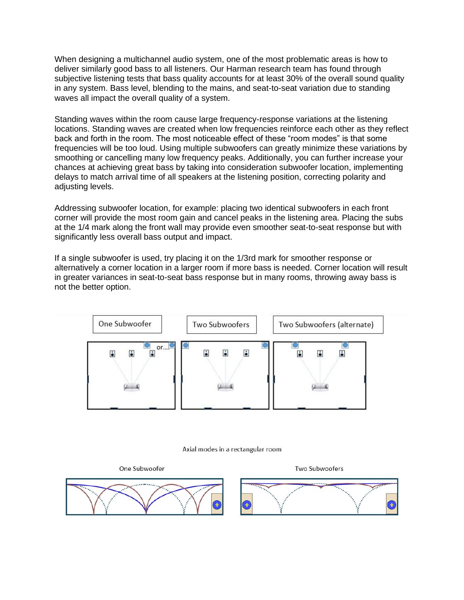When designing a multichannel audio system, one of the most problematic areas is how to deliver similarly good bass to all listeners. Our Harman research team has found through subjective listening tests that bass quality accounts for at least 30% of the overall sound quality in any system. Bass level, blending to the mains, and seat-to-seat variation due to standing waves all impact the overall quality of a system.

Standing waves within the room cause large frequency-response variations at the listening locations. Standing waves are created when low frequencies reinforce each other as they reflect back and forth in the room. The most noticeable effect of these "room modes" is that some frequencies will be too loud. Using multiple subwoofers can greatly minimize these variations by smoothing or cancelling many low frequency peaks. Additionally, you can further increase your chances at achieving great bass by taking into consideration subwoofer location, implementing delays to match arrival time of all speakers at the listening position, correcting polarity and adjusting levels.

Addressing subwoofer location, for example: placing two identical subwoofers in each front corner will provide the most room gain and cancel peaks in the listening area. Placing the subs at the 1/4 mark along the front wall may provide even smoother seat-to-seat response but with significantly less overall bass output and impact.

If a single subwoofer is used, try placing it on the 1/3rd mark for smoother response or alternatively a corner location in a larger room if more bass is needed. Corner location will result in greater variances in seat-to-seat bass response but in many rooms, throwing away bass is not the better option.



Axial modes in a rectangular room

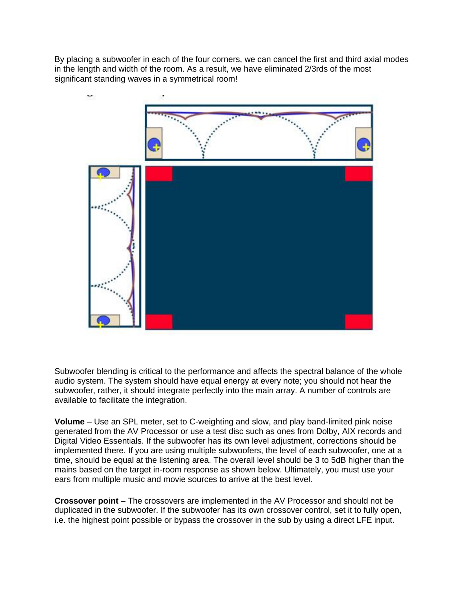By placing a subwoofer in each of the four corners, we can cancel the first and third axial modes in the length and width of the room. As a result, we have eliminated 2/3rds of the most significant standing waves in a symmetrical room!



Subwoofer blending is critical to the performance and affects the spectral balance of the whole audio system. The system should have equal energy at every note; you should not hear the subwoofer, rather, it should integrate perfectly into the main array. A number of controls are available to facilitate the integration.

**Volume** – Use an SPL meter, set to C-weighting and slow, and play band-limited pink noise generated from the AV Processor or use a test disc such as ones from Dolby, AIX records and Digital Video Essentials. If the subwoofer has its own level adjustment, corrections should be implemented there. If you are using multiple subwoofers, the level of each subwoofer, one at a time, should be equal at the listening area. The overall level should be 3 to 5dB higher than the mains based on the target in-room response as shown below. Ultimately, you must use your ears from multiple music and movie sources to arrive at the best level.

**Crossover point** – The crossovers are implemented in the AV Processor and should not be duplicated in the subwoofer. If the subwoofer has its own crossover control, set it to fully open, i.e. the highest point possible or bypass the crossover in the sub by using a direct LFE input.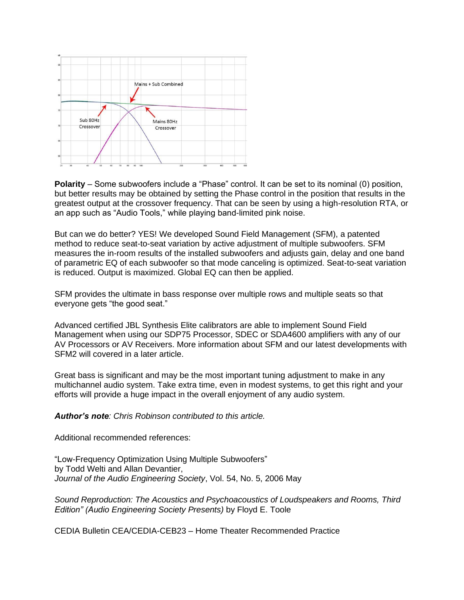

**Polarity** – Some subwoofers include a "Phase" control. It can be set to its nominal (0) position, but better results may be obtained by setting the Phase control in the position that results in the greatest output at the crossover frequency. That can be seen by using a high-resolution RTA, or an app such as "Audio Tools," while playing band-limited pink noise.

But can we do better? YES! We developed Sound Field Management (SFM), a patented method to reduce seat-to-seat variation by active adjustment of multiple subwoofers. SFM measures the in-room results of the installed subwoofers and adjusts gain, delay and one band of parametric EQ of each subwoofer so that mode canceling is optimized. Seat-to-seat variation is reduced. Output is maximized. Global EQ can then be applied.

SFM provides the ultimate in bass response over multiple rows and multiple seats so that everyone gets "the good seat."

Advanced certified JBL Synthesis Elite calibrators are able to implement Sound Field Management when using our SDP75 Processor, SDEC or SDA4600 amplifiers with any of our AV Processors or AV Receivers. More information about SFM and our latest developments with SFM2 will covered in a later article.

Great bass is significant and may be the most important tuning adjustment to make in any multichannel audio system. Take extra time, even in modest systems, to get this right and your efforts will provide a huge impact in the overall enjoyment of any audio system.

*Author's note: Chris Robinson contributed to this article.*

Additional recommended references:

"Low-Frequency Optimization Using Multiple Subwoofers" by Todd Welti and Allan Devantier, *Journal of the Audio Engineering Society*, Vol. 54, No. 5, 2006 May

*Sound Reproduction: The Acoustics and Psychoacoustics of Loudspeakers and Rooms, Third Edition" (Audio Engineering Society Presents)* by Floyd E. Toole

CEDIA Bulletin CEA/CEDIA-CEB23 – Home Theater Recommended Practice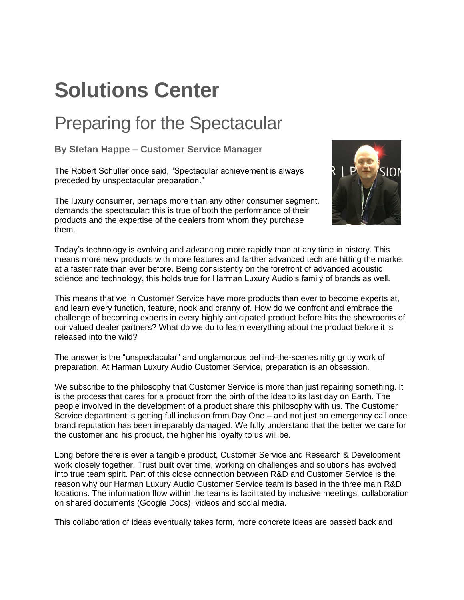# **Solutions Center**

### Preparing for the Spectacular

**By Stefan Happe – Customer Service Manager**

The Robert Schuller once said, "Spectacular achievement is always preceded by unspectacular preparation."

The luxury consumer, perhaps more than any other consumer segment, demands the spectacular; this is true of both the performance of their products and the expertise of the dealers from whom they purchase them.



Today's technology is evolving and advancing more rapidly than at any time in history. This means more new products with more features and farther advanced tech are hitting the market at a faster rate than ever before. Being consistently on the forefront of advanced acoustic science and technology, this holds true for Harman Luxury Audio's family of brands as well.

This means that we in Customer Service have more products than ever to become experts at, and learn every function, feature, nook and cranny of. How do we confront and embrace the challenge of becoming experts in every highly anticipated product before hits the showrooms of our valued dealer partners? What do we do to learn everything about the product before it is released into the wild?

The answer is the "unspectacular" and unglamorous behind-the-scenes nitty gritty work of preparation. At Harman Luxury Audio Customer Service, preparation is an obsession.

We subscribe to the philosophy that Customer Service is more than just repairing something. It is the process that cares for a product from the birth of the idea to its last day on Earth. The people involved in the development of a product share this philosophy with us. The Customer Service department is getting full inclusion from Day One – and not just an emergency call once brand reputation has been irreparably damaged. We fully understand that the better we care for the customer and his product, the higher his loyalty to us will be.

Long before there is ever a tangible product, Customer Service and Research & Development work closely together. Trust built over time, working on challenges and solutions has evolved into true team spirit. Part of this close connection between R&D and Customer Service is the reason why our Harman Luxury Audio Customer Service team is based in the three main R&D locations. The information flow within the teams is facilitated by inclusive meetings, collaboration on shared documents (Google Docs), videos and social media.

This collaboration of ideas eventually takes form, more concrete ideas are passed back and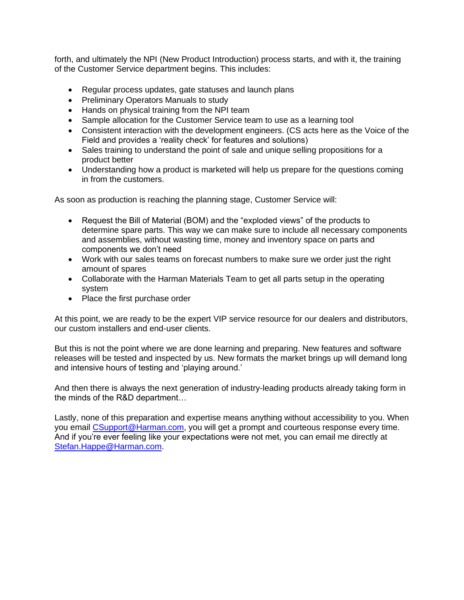forth, and ultimately the NPI (New Product Introduction) process starts, and with it, the training of the Customer Service department begins. This includes:

- Regular process updates, gate statuses and launch plans
- Preliminary Operators Manuals to study
- Hands on physical training from the NPI team
- Sample allocation for the Customer Service team to use as a learning tool
- Consistent interaction with the development engineers. (CS acts here as the Voice of the Field and provides a 'reality check' for features and solutions)
- Sales training to understand the point of sale and unique selling propositions for a product better
- Understanding how a product is marketed will help us prepare for the questions coming in from the customers.

As soon as production is reaching the planning stage, Customer Service will:

- Request the Bill of Material (BOM) and the "exploded views" of the products to determine spare parts. This way we can make sure to include all necessary components and assemblies, without wasting time, money and inventory space on parts and components we don't need
- Work with our sales teams on forecast numbers to make sure we order just the right amount of spares
- Collaborate with the Harman Materials Team to get all parts setup in the operating system
- Place the first purchase order

At this point, we are ready to be the expert VIP service resource for our dealers and distributors, our custom installers and end-user clients.

But this is not the point where we are done learning and preparing. New features and software releases will be tested and inspected by us. New formats the market brings up will demand long and intensive hours of testing and 'playing around.'

And then there is always the next generation of industry-leading products already taking form in the minds of the R&D department…

Lastly, none of this preparation and expertise means anything without accessibility to you. When you email [CSupport@Harman.com,](mailto:CSupport@Harman.com) you will get a prompt and courteous response every time. And if you're ever feeling like your expectations were not met, you can email me directly at [Stefan.Happe@Harman.com.](Stefan.Happe@Harman.com)